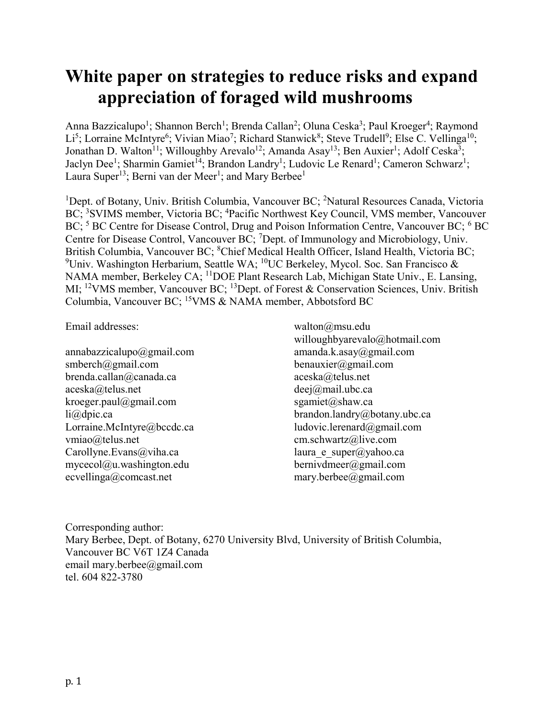# White paper on strategies to reduce risks and expand appreciation of foraged wild mushrooms

Anna Bazzicalupo<sup>1</sup>; Shannon Berch<sup>1</sup>; Brenda Callan<sup>2</sup>; Oluna Ceska<sup>3</sup>; Paul Kroeger<sup>4</sup>; Raymond Li<sup>5</sup>; Lorraine McIntyre<sup>6</sup>; Vivian Miao<sup>7</sup>; Richard Stanwick<sup>8</sup>; Steve Trudell<sup>9</sup>; Else C. Vellinga<sup>10</sup>; Jonathan D. Walton<sup>11</sup>; Willoughby Arevalo<sup>12</sup>; Amanda Asay<sup>13</sup>; Ben Auxier<sup>1</sup>; Adolf Ceska<sup>3</sup>; Jaclyn Dee<sup>1</sup>; Sharmin Gamiet<sup>14</sup>; Brandon Landry<sup>1</sup>; Ludovic Le Renard<sup>1</sup>; Cameron Schwarz<sup>1</sup>; Laura Super<sup>13</sup>; Berni van der Meer<sup>1</sup>; and Mary Berbee<sup>1</sup>

<sup>1</sup>Dept. of Botany, Univ. British Columbia, Vancouver BC; <sup>2</sup>Natural Resources Canada, Victoria BC; <sup>3</sup>SVIMS member, Victoria BC; <sup>4</sup>Pacific Northwest Key Council, VMS member, Vancouver BC;  $5$  BC Centre for Disease Control, Drug and Poison Information Centre, Vancouver BC;  $6$  BC Centre for Disease Control, Vancouver BC; <sup>7</sup>Dept. of Immunology and Microbiology, Univ. British Columbia, Vancouver BC; <sup>8</sup>Chief Medical Health Officer, Island Health, Victoria BC; <sup>9</sup>Univ. Washington Herbarium, Seattle WA; <sup>10</sup>UC Berkeley, Mycol. Soc. San Francisco & NAMA member, Berkeley CA; <sup>11</sup>DOE Plant Research Lab, Michigan State Univ., E. Lansing, MI; <sup>12</sup>VMS member, Vancouver BC; <sup>13</sup>Dept. of Forest & Conservation Sciences, Univ. British Columbia, Vancouver BC; <sup>15</sup>VMS & NAMA member, Abbotsford BC

Email addresses:

annabazzicalupo@gmail.com smberch@gmail.com brenda.callan@canada.ca aceska@telus.net kroeger.paul@gmail.com li@dpic.ca Lorraine.McIntyre@bccdc.ca vmiao@telus.net Carollyne.Evans@viha.ca mycecol@u.washington.edu ecvellinga@comcast.net

walton@msu.edu willoughbyarevalo@hotmail.com amanda.k.asay@gmail.com benauxier@gmail.com aceska@telus.net deej@mail.ubc.ca sgamiet@shaw.ca brandon.landry@botany.ubc.ca ludovic.lerenard@gmail.com cm.schwartz@live.com laura e super $\omega$ yahoo.ca bernivdmeer@gmail.com mary.berbee@gmail.com

Corresponding author: Mary Berbee, Dept. of Botany, 6270 University Blvd, University of British Columbia, Vancouver BC V6T 1Z4 Canada email mary.berbee@gmail.com tel. 604 822-3780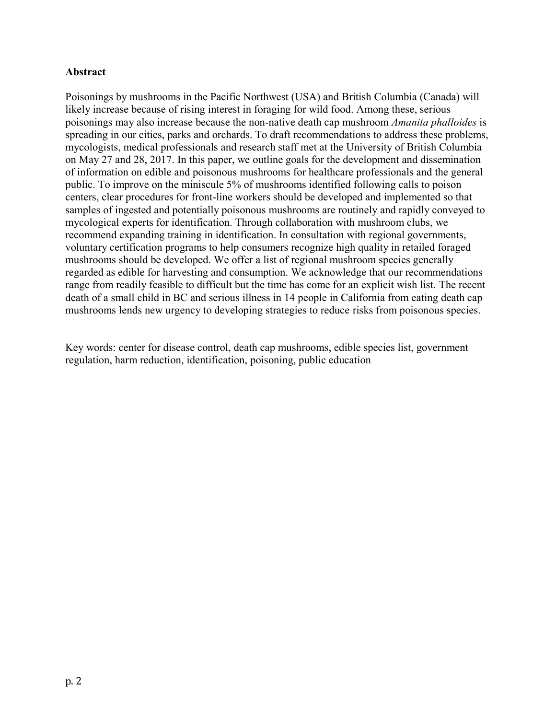## Abstract

Poisonings by mushrooms in the Pacific Northwest (USA) and British Columbia (Canada) will likely increase because of rising interest in foraging for wild food. Among these, serious poisonings may also increase because the non-native death cap mushroom *Amanita phalloides* is spreading in our cities, parks and orchards. To draft recommendations to address these problems, mycologists, medical professionals and research staff met at the University of British Columbia on May 27 and 28, 2017. In this paper, we outline goals for the development and dissemination of information on edible and poisonous mushrooms for healthcare professionals and the general public. To improve on the miniscule 5% of mushrooms identified following calls to poison centers, clear procedures for front-line workers should be developed and implemented so that samples of ingested and potentially poisonous mushrooms are routinely and rapidly conveyed to mycological experts for identification. Through collaboration with mushroom clubs, we recommend expanding training in identification. In consultation with regional governments, voluntary certification programs to help consumers recognize high quality in retailed foraged mushrooms should be developed. We offer a list of regional mushroom species generally regarded as edible for harvesting and consumption. We acknowledge that our recommendations range from readily feasible to difficult but the time has come for an explicit wish list. The recent death of a small child in BC and serious illness in 14 people in California from eating death cap mushrooms lends new urgency to developing strategies to reduce risks from poisonous species.

Key words: center for disease control, death cap mushrooms, edible species list, government regulation, harm reduction, identification, poisoning, public education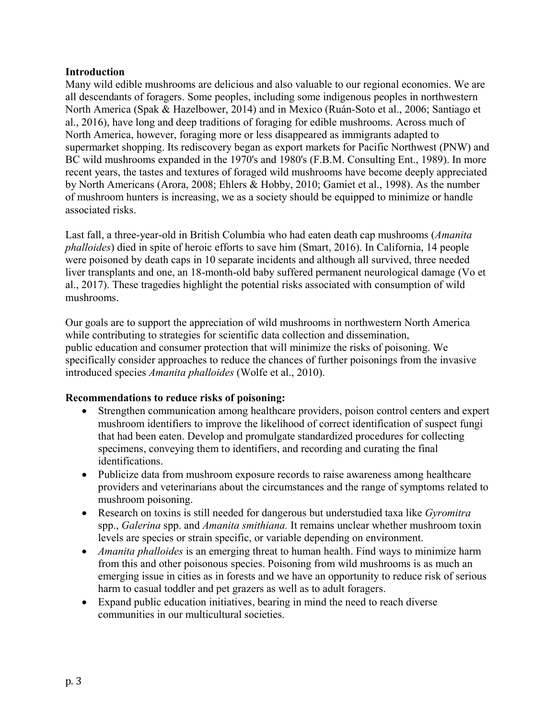#### **Introduction**

Many wild edible mushrooms are delicious and also valuable to our regional economies. We are all descendants of foragers. Some peoples, including some indigenous peoples in northwestern North America (Spak & Hazelbower, 2014) and in Mexico (Ruán-Soto et al., 2006; Santiago et al., 2016), have long and deep traditions of foraging for edible mushrooms. Across much of North America, however, foraging more or less disappeared as immigrants adapted to supermarket shopping. Its rediscovery began as export markets for Pacific Northwest (PNW) and BC wild mushrooms expanded in the 1970's and 1980's (F.B.M. Consulting Ent., 1989). In more recent years, the tastes and textures of foraged wild mushrooms have become deeply appreciated by North Americans (Arora, 2008; Ehlers & Hobby, 2010; Gamiet et al., 1998). As the number of mushroom hunters is increasing, we as a society should be equipped to minimize or handle associated risks.

Last fall, a three-year-old in British Columbia who had eaten death cap mushrooms (*Amanita phalloides*) died in spite of heroic efforts to save him (Smart, 2016). In California, 14 people were poisoned by death caps in 10 separate incidents and although all survived, three needed liver transplants and one, an 18-month-old baby suffered permanent neurological damage (Vo et al., 2017). These tragedies highlight the potential risks associated with consumption of wild mushrooms.

Our goals are to support the appreciation of wild mushrooms in northwestern North America while contributing to strategies for scientific data collection and dissemination, public education and consumer protection that will minimize the risks of poisoning. We specifically consider approaches to reduce the chances of further poisonings from the invasive introduced species *Amanita phalloides* (Wolfe et al., 2010).

## Recommendations to reduce risks of poisoning:

- Strengthen communication among healthcare providers, poison control centers and expert mushroom identifiers to improve the likelihood of correct identification of suspect fungi that had been eaten. Develop and promulgate standardized procedures for collecting specimens, conveying them to identifiers, and recording and curating the final identifications.
- Publicize data from mushroom exposure records to raise awareness among healthcare providers and veterinarians about the circumstances and the range of symptoms related to mushroom poisoning.
- Research on toxins is still needed for dangerous but understudied taxa like *Gyromitra* spp., *Galerina* spp. and *Amanita smithiana.* It remains unclear whether mushroom toxin levels are species or strain specific, or variable depending on environment.
- *Amanita phalloides* is an emerging threat to human health. Find ways to minimize harm from this and other poisonous species. Poisoning from wild mushrooms is as much an emerging issue in cities as in forests and we have an opportunity to reduce risk of serious harm to casual toddler and pet grazers as well as to adult foragers.
- Expand public education initiatives, bearing in mind the need to reach diverse communities in our multicultural societies.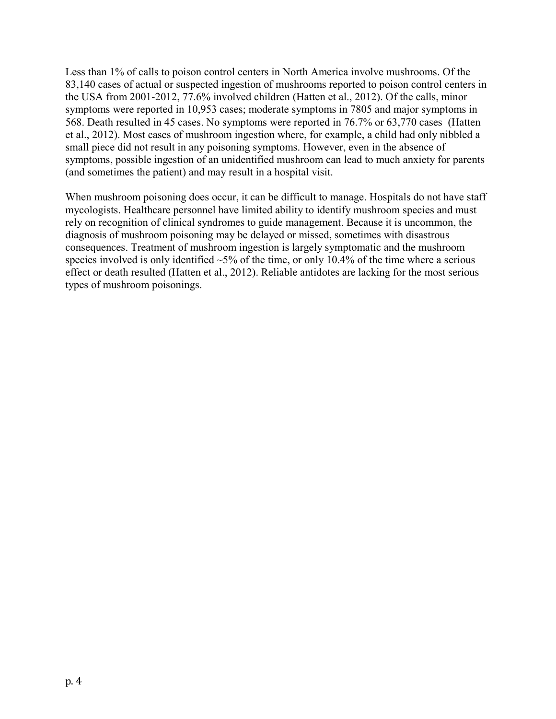Less than 1% of calls to poison control centers in North America involve mushrooms. Of the 83,140 cases of actual or suspected ingestion of mushrooms reported to poison control centers in the USA from 2001-2012, 77.6% involved children (Hatten et al., 2012). Of the calls, minor symptoms were reported in 10,953 cases; moderate symptoms in 7805 and major symptoms in 568. Death resulted in 45 cases. No symptoms were reported in 76.7% or 63,770 cases (Hatten et al., 2012). Most cases of mushroom ingestion where, for example, a child had only nibbled a small piece did not result in any poisoning symptoms. However, even in the absence of symptoms, possible ingestion of an unidentified mushroom can lead to much anxiety for parents (and sometimes the patient) and may result in a hospital visit.

When mushroom poisoning does occur, it can be difficult to manage. Hospitals do not have staff mycologists. Healthcare personnel have limited ability to identify mushroom species and must rely on recognition of clinical syndromes to guide management. Because it is uncommon, the diagnosis of mushroom poisoning may be delayed or missed, sometimes with disastrous consequences. Treatment of mushroom ingestion is largely symptomatic and the mushroom species involved is only identified  $\sim$ 5% of the time, or only 10.4% of the time where a serious effect or death resulted (Hatten et al., 2012). Reliable antidotes are lacking for the most serious types of mushroom poisonings.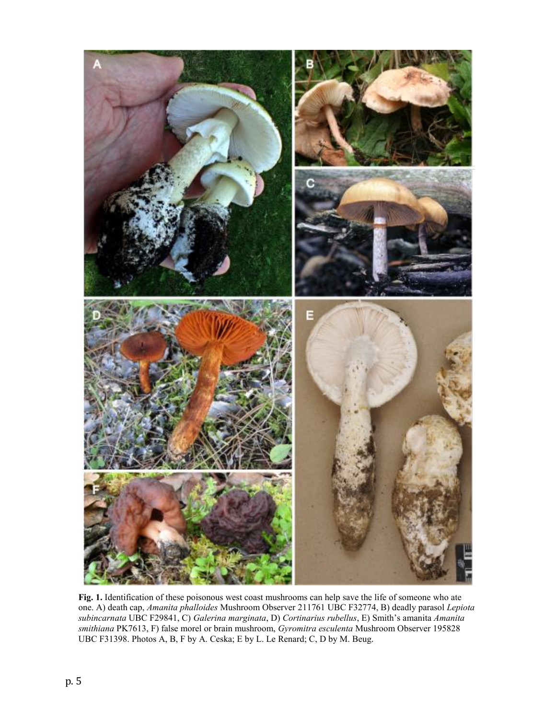

Fig. 1. Identification of these poisonous west coast mushrooms can help save the life of someone who ate one. A) death cap, *Amanita phalloides* Mushroom Observer 211761 UBC F32774, B) deadly parasol *Lepiota subincarnata* UBC F29841, C) *Galerina marginata*, D) *Cortinarius rubellus*, E) Smith's amanita *Amanita smithiana* PK7613, F) false morel or brain mushroom, *Gyromitra esculenta* Mushroom Observer 195828 UBC F31398. Photos A, B, F by A. Ceska; E by L. Le Renard; C, D by M. Beug.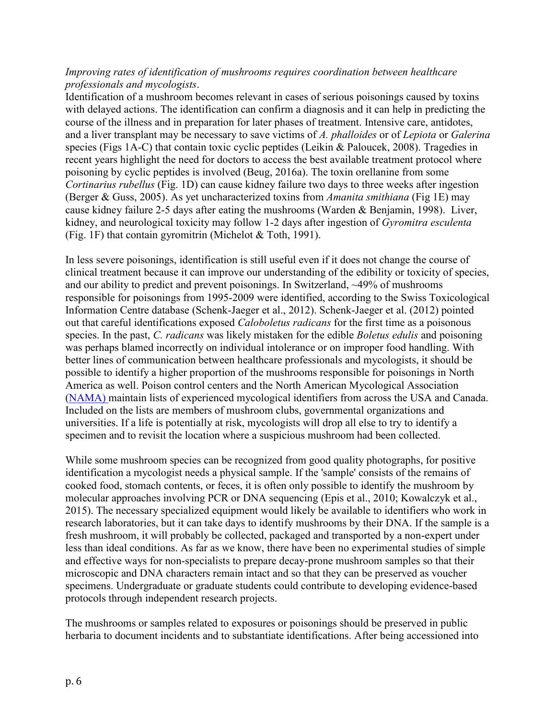#### *Improving rates of identification of mushrooms requires coordination between healthcare professionals and mycologists*.

Identification of a mushroom becomes relevant in cases of serious poisonings caused by toxins with delayed actions. The identification can confirm a diagnosis and it can help in predicting the course of the illness and in preparation for later phases of treatment. Intensive care, antidotes, and a liver transplant may be necessary to save victims of *A. phalloides* or of *Lepiota* or *Galerina*  species (Figs 1A-C) that contain toxic cyclic peptides (Leikin & Paloucek, 2008). Tragedies in recent years highlight the need for doctors to access the best available treatment protocol where poisoning by cyclic peptides is involved (Beug, 2016a). The toxin orellanine from some *Cortinarius rubellus* (Fig. 1D) can cause kidney failure two days to three weeks after ingestion (Berger & Guss, 2005). As yet uncharacterized toxins from *Amanita smithiana* (Fig 1E) may cause kidney failure 2-5 days after eating the mushrooms (Warden & Benjamin, 1998). Liver, kidney, and neurological toxicity may follow 1-2 days after ingestion of *Gyromitra esculenta* (Fig. 1F) that contain gyromitrin (Michelot & Toth, 1991).

In less severe poisonings, identification is still useful even if it does not change the course of clinical treatment because it can improve our understanding of the edibility or toxicity of species, and our ability to predict and prevent poisonings. In Switzerland, ~49% of mushrooms responsible for poisonings from 1995-2009 were identified, according to the Swiss Toxicological Information Centre database (Schenk-Jaeger et al., 2012). Schenk-Jaeger et al. (2012) pointed out that careful identifications exposed *Caloboletus radicans* for the first time as a poisonous species. In the past, *C. radicans* was likely mistaken for the edible *Boletus edulis* and poisoning was perhaps blamed incorrectly on individual intolerance or on improper food handling. With better lines of communication between healthcare professionals and mycologists, it should be possible to identify a higher proportion of the mushrooms responsible for poisonings in North America as well. Poison control centers and the North American Mycological Association [\(NAMA\)](http://www.namyco.org/mushroom_poisoning_identifiers.php?) maintain lists of experienced mycological identifiers from across the USA and Canada. Included on the lists are members of mushroom clubs, governmental organizations and universities. If a life is potentially at risk, mycologists will drop all else to try to identify a specimen and to revisit the location where a suspicious mushroom had been collected.

While some mushroom species can be recognized from good quality photographs, for positive identification a mycologist needs a physical sample. If the 'sample' consists of the remains of cooked food, stomach contents, or feces, it is often only possible to identify the mushroom by molecular approaches involving PCR or DNA sequencing (Epis et al., 2010; Kowalczyk et al., 2015). The necessary specialized equipment would likely be available to identifiers who work in research laboratories, but it can take days to identify mushrooms by their DNA. If the sample is a fresh mushroom, it will probably be collected, packaged and transported by a non-expert under less than ideal conditions. As far as we know, there have been no experimental studies of simple and effective ways for non-specialists to prepare decay-prone mushroom samples so that their microscopic and DNA characters remain intact and so that they can be preserved as voucher specimens. Undergraduate or graduate students could contribute to developing evidence-based protocols through independent research projects.

The mushrooms or samples related to exposures or poisonings should be preserved in public herbaria to document incidents and to substantiate identifications. After being accessioned into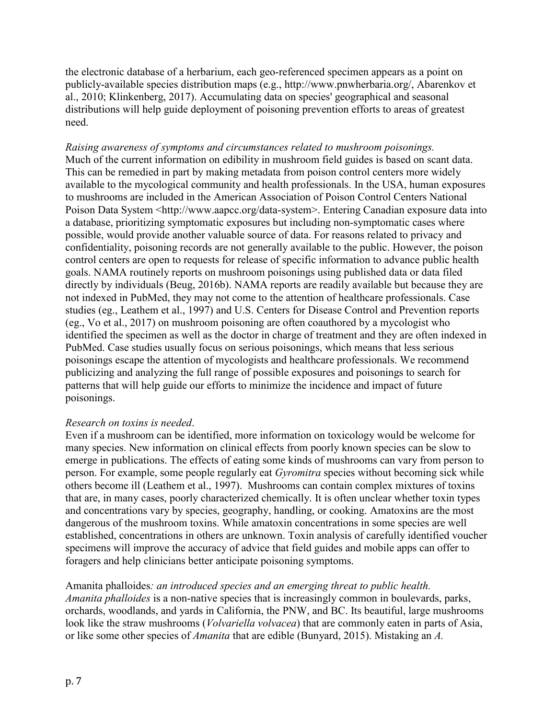the electronic database of a herbarium, each geo-referenced specimen appears as a point on publicly-available species distribution maps (e.g., http://www.pnwherbaria.org/, Abarenkov et al., 2010; Klinkenberg, 2017). Accumulating data on species' geographical and seasonal distributions will help guide deployment of poisoning prevention efforts to areas of greatest need.

*Raising awareness of symptoms and circumstances related to mushroom poisonings.* Much of the current information on edibility in mushroom field guides is based on scant data. This can be remedied in part by making metadata from poison control centers more widely available to the mycological community and health professionals. In the USA, human exposures to mushrooms are included in the American Association of Poison Control Centers National Poison Data System <http://www.aapcc.org/data-system>. Entering Canadian exposure data into a database, prioritizing symptomatic exposures but including non-symptomatic cases where possible, would provide another valuable source of data. For reasons related to privacy and confidentiality, poisoning records are not generally available to the public. However, the poison control centers are open to requests for release of specific information to advance public health goals. NAMA routinely reports on mushroom poisonings using published data or data filed directly by individuals (Beug, 2016b). NAMA reports are readily available but because they are not indexed in PubMed, they may not come to the attention of healthcare professionals. Case studies (eg., Leathem et al., 1997) and U.S. Centers for Disease Control and Prevention reports (eg., Vo et al., 2017) on mushroom poisoning are often coauthored by a mycologist who identified the specimen as well as the doctor in charge of treatment and they are often indexed in PubMed. Case studies usually focus on serious poisonings, which means that less serious poisonings escape the attention of mycologists and healthcare professionals. We recommend publicizing and analyzing the full range of possible exposures and poisonings to search for patterns that will help guide our efforts to minimize the incidence and impact of future poisonings.

## *Research on toxins is needed*.

Even if a mushroom can be identified, more information on toxicology would be welcome for many species. New information on clinical effects from poorly known species can be slow to emerge in publications. The effects of eating some kinds of mushrooms can vary from person to person. For example, some people regularly eat *Gyromitra* species without becoming sick while others become ill (Leathem et al., 1997). Mushrooms can contain complex mixtures of toxins that are, in many cases, poorly characterized chemically. It is often unclear whether toxin types and concentrations vary by species, geography, handling, or cooking. Amatoxins are the most dangerous of the mushroom toxins. While amatoxin concentrations in some species are well established, concentrations in others are unknown. Toxin analysis of carefully identified voucher specimens will improve the accuracy of advice that field guides and mobile apps can offer to foragers and help clinicians better anticipate poisoning symptoms.

## Amanita phalloides*: an introduced species and an emerging threat to public health.*

*Amanita phalloides* is a non-native species that is increasingly common in boulevards, parks, orchards, woodlands, and yards in California, the PNW, and BC. Its beautiful, large mushrooms look like the straw mushrooms (*Volvariella volvacea*) that are commonly eaten in parts of Asia, or like some other species of *Amanita* that are edible (Bunyard, 2015). Mistaking an *A.*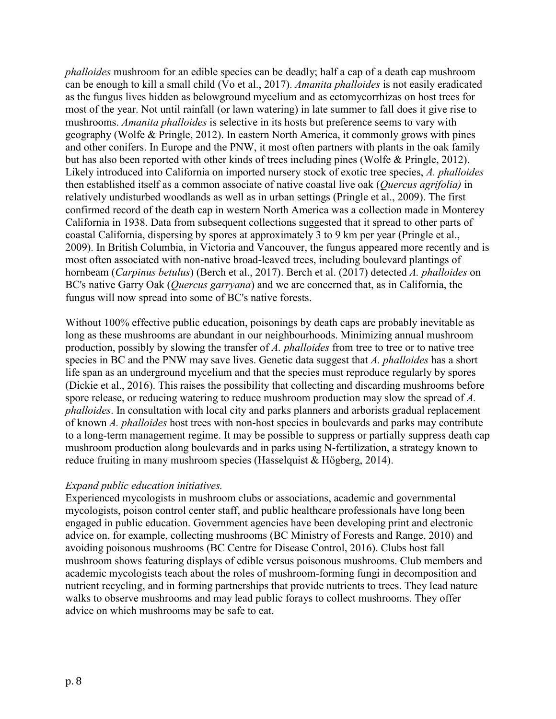*phalloides* mushroom for an edible species can be deadly; half a cap of a death cap mushroom can be enough to kill a small child (Vo et al., 2017). *Amanita phalloides* is not easily eradicated as the fungus lives hidden as belowground mycelium and as ectomycorrhizas on host trees for most of the year. Not until rainfall (or lawn watering) in late summer to fall does it give rise to mushrooms. *Amanita phalloides* is selective in its hosts but preference seems to vary with geography (Wolfe & Pringle, 2012). In eastern North America, it commonly grows with pines and other conifers. In Europe and the PNW, it most often partners with plants in the oak family but has also been reported with other kinds of trees including pines (Wolfe & Pringle, 2012). Likely introduced into California on imported nursery stock of exotic tree species, *A. phalloides* then established itself as a common associate of native coastal live oak (*Quercus agrifolia)* in relatively undisturbed woodlands as well as in urban settings (Pringle et al., 2009). The first confirmed record of the death cap in western North America was a collection made in Monterey California in 1938. Data from subsequent collections suggested that it spread to other parts of coastal California, dispersing by spores at approximately 3 to 9 km per year (Pringle et al., 2009). In British Columbia, in Victoria and Vancouver, the fungus appeared more recently and is most often associated with non-native broad-leaved trees, including boulevard plantings of hornbeam (*Carpinus betulus*) (Berch et al., 2017). Berch et al. (2017) detected *A. phalloides* on BC's native Garry Oak (*Quercus garryana*) and we are concerned that, as in California, the fungus will now spread into some of BC's native forests.

Without 100% effective public education, poisonings by death caps are probably inevitable as long as these mushrooms are abundant in our neighbourhoods. Minimizing annual mushroom production, possibly by slowing the transfer of *A. phalloides* from tree to tree or to native tree species in BC and the PNW may save lives. Genetic data suggest that *A. phalloides* has a short life span as an underground mycelium and that the species must reproduce regularly by spores (Dickie et al., 2016). This raises the possibility that collecting and discarding mushrooms before spore release, or reducing watering to reduce mushroom production may slow the spread of *A. phalloides*. In consultation with local city and parks planners and arborists gradual replacement of known *A. phalloides* host trees with non-host species in boulevards and parks may contribute to a long-term management regime. It may be possible to suppress or partially suppress death cap mushroom production along boulevards and in parks using N-fertilization, a strategy known to reduce fruiting in many mushroom species (Hasselquist & Högberg, 2014).

## *Expand public education initiatives.*

Experienced mycologists in mushroom clubs or associations, academic and governmental mycologists, poison control center staff, and public healthcare professionals have long been engaged in public education. Government agencies have been developing print and electronic advice on, for example, collecting mushrooms (BC Ministry of Forests and Range, 2010) and avoiding poisonous mushrooms (BC Centre for Disease Control, 2016). Clubs host fall mushroom shows featuring displays of edible versus poisonous mushrooms. Club members and academic mycologists teach about the roles of mushroom-forming fungi in decomposition and nutrient recycling, and in forming partnerships that provide nutrients to trees. They lead nature walks to observe mushrooms and may lead public forays to collect mushrooms. They offer advice on which mushrooms may be safe to eat.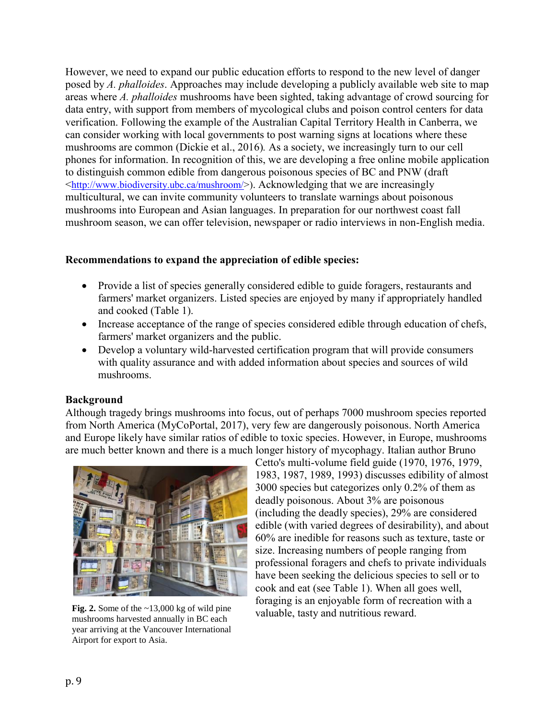However, we need to expand our public education efforts to respond to the new level of danger posed by *A. phalloides*. Approaches may include developing a publicly available web site to map areas where *A. phalloides* mushrooms have been sighted, taking advantage of crowd sourcing for data entry, with support from members of mycological clubs and poison control centers for data verification. Following the example of the Australian Capital Territory Health in Canberra, we can consider working with local governments to post warning signs at locations where these mushrooms are common (Dickie et al., 2016)*.* As a society, we increasingly turn to our cell phones for information. In recognition of this, we are developing a free online mobile application to distinguish common edible from dangerous poisonous species of BC and PNW (draft <[http://www.biodiversity.ubc.ca/mushroom/>](http://www.biodiversity.ubc.ca/mushroom/)). Acknowledging that we are increasingly multicultural, we can invite community volunteers to translate warnings about poisonous mushrooms into European and Asian languages. In preparation for our northwest coast fall mushroom season, we can offer television, newspaper or radio interviews in non-English media.

#### Recommendations to expand the appreciation of edible species:

- Provide a list of species generally considered edible to guide foragers, restaurants and farmers' market organizers. Listed species are enjoyed by many if appropriately handled and cooked (Table 1).
- Increase acceptance of the range of species considered edible through education of chefs, farmers' market organizers and the public.
- Develop a voluntary wild-harvested certification program that will provide consumers with quality assurance and with added information about species and sources of wild mushrooms.

## Background

Although tragedy brings mushrooms into focus, out of perhaps 7000 mushroom species reported from North America (MyCoPortal, 2017), very few are dangerously poisonous. North America and Europe likely have similar ratios of edible to toxic species. However, in Europe, mushrooms are much better known and there is a much longer history of mycophagy. Italian author Bruno



mushrooms harvested annually in BC each year arriving at the Vancouver International Airport for export to Asia.

Cetto's multi-volume field guide (1970, 1976, 1979, 1983, 1987, 1989, 1993) discusses edibility of almost 3000 species but categorizes only 0.2% of them as deadly poisonous. About 3% are poisonous (including the deadly species), 29% are considered edible (with varied degrees of desirability), and about 60% are inedible for reasons such as texture, taste or size. Increasing numbers of people ranging from professional foragers and chefs to private individuals have been seeking the delicious species to sell or to cook and eat (see Table 1). When all goes well, foraging is an enjoyable form of recreation with a Fig. 2. Some of the ~13,000 kg of wild pine valuable, tasty and nutritious reward.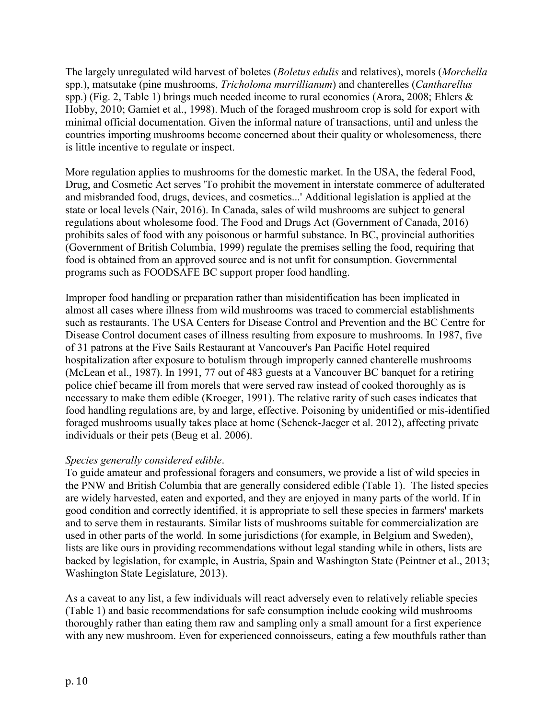The largely unregulated wild harvest of boletes (*Boletus edulis* and relatives), morels (*Morchella* spp.), matsutake (pine mushrooms, *Tricholoma murrillianum*) and chanterelles (*Cantharellus* spp.) (Fig. 2, Table 1) brings much needed income to rural economies (Arora, 2008; Ehlers & Hobby, 2010; Gamiet et al., 1998). Much of the foraged mushroom crop is sold for export with minimal official documentation. Given the informal nature of transactions, until and unless the countries importing mushrooms become concerned about their quality or wholesomeness, there is little incentive to regulate or inspect.

More regulation applies to mushrooms for the domestic market. In the USA, the federal Food, Drug, and Cosmetic Act serves 'To prohibit the movement in interstate commerce of adulterated and misbranded food, drugs, devices, and cosmetics...' Additional legislation is applied at the state or local levels (Nair, 2016). In Canada, sales of wild mushrooms are subject to general regulations about wholesome food. The Food and Drugs Act (Government of Canada, 2016) prohibits sales of food with any poisonous or harmful substance. In BC, provincial authorities (Government of British Columbia, 1999) regulate the premises selling the food, requiring that food is obtained from an approved source and is not unfit for consumption. Governmental programs such as FOODSAFE BC support proper food handling.

Improper food handling or preparation rather than misidentification has been implicated in almost all cases where illness from wild mushrooms was traced to commercial establishments such as restaurants. The USA Centers for Disease Control and Prevention and the BC Centre for Disease Control document cases of illness resulting from exposure to mushrooms. In 1987, five of 31 patrons at the Five Sails Restaurant at Vancouver's Pan Pacific Hotel required hospitalization after exposure to botulism through improperly canned chanterelle mushrooms (McLean et al., 1987). In 1991, 77 out of 483 guests at a Vancouver BC banquet for a retiring police chief became ill from morels that were served raw instead of cooked thoroughly as is necessary to make them edible (Kroeger, 1991). The relative rarity of such cases indicates that food handling regulations are, by and large, effective. Poisoning by unidentified or mis-identified foraged mushrooms usually takes place at home (Schenck-Jaeger et al. 2012), affecting private individuals or their pets (Beug et al. 2006).

## *Species generally considered edible*.

To guide amateur and professional foragers and consumers, we provide a list of wild species in the PNW and British Columbia that are generally considered edible (Table 1). The listed species are widely harvested, eaten and exported, and they are enjoyed in many parts of the world. If in good condition and correctly identified, it is appropriate to sell these species in farmers' markets and to serve them in restaurants. Similar lists of mushrooms suitable for commercialization are used in other parts of the world. In some jurisdictions (for example, in Belgium and Sweden), lists are like ours in providing recommendations without legal standing while in others, lists are backed by legislation, for example, in Austria, Spain and Washington State (Peintner et al., 2013; Washington State Legislature, 2013).

As a caveat to any list, a few individuals will react adversely even to relatively reliable species (Table 1) and basic recommendations for safe consumption include cooking wild mushrooms thoroughly rather than eating them raw and sampling only a small amount for a first experience with any new mushroom. Even for experienced connoisseurs, eating a few mouthfuls rather than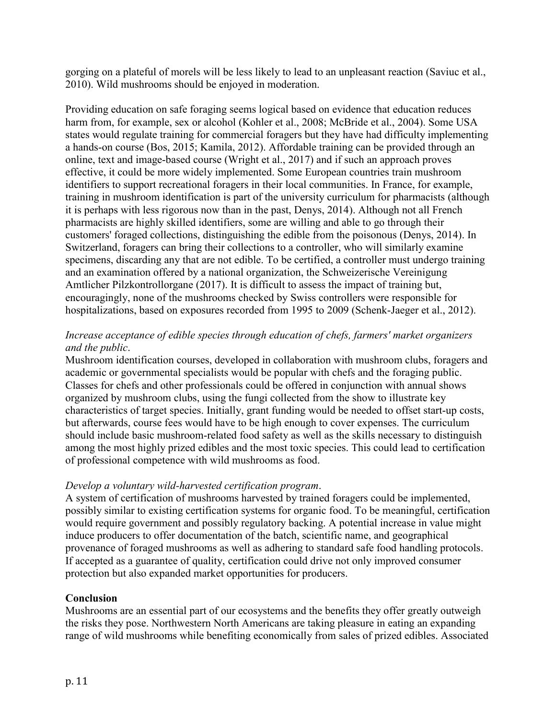gorging on a plateful of morels will be less likely to lead to an unpleasant reaction (Saviuc et al., 2010). Wild mushrooms should be enjoyed in moderation.

Providing education on safe foraging seems logical based on evidence that education reduces harm from, for example, sex or alcohol (Kohler et al., 2008; McBride et al., 2004). Some USA states would regulate training for commercial foragers but they have had difficulty implementing a hands-on course (Bos, 2015; Kamila, 2012). Affordable training can be provided through an online, text and image-based course (Wright et al., 2017) and if such an approach proves effective, it could be more widely implemented. Some European countries train mushroom identifiers to support recreational foragers in their local communities. In France, for example, training in mushroom identification is part of the university curriculum for pharmacists (although it is perhaps with less rigorous now than in the past, Denys, 2014). Although not all French pharmacists are highly skilled identifiers, some are willing and able to go through their customers' foraged collections, distinguishing the edible from the poisonous (Denys, 2014). In Switzerland, foragers can bring their collections to a controller, who will similarly examine specimens, discarding any that are not edible. To be certified, a controller must undergo training and an examination offered by a national organization, the Schweizerische Vereinigung Amtlicher Pilzkontrollorgane (2017). It is difficult to assess the impact of training but, encouragingly, none of the mushrooms checked by Swiss controllers were responsible for hospitalizations, based on exposures recorded from 1995 to 2009 (Schenk-Jaeger et al., 2012).

## *Increase acceptance of edible species through education of chefs, farmers' market organizers and the public*.

Mushroom identification courses, developed in collaboration with mushroom clubs, foragers and academic or governmental specialists would be popular with chefs and the foraging public. Classes for chefs and other professionals could be offered in conjunction with annual shows organized by mushroom clubs, using the fungi collected from the show to illustrate key characteristics of target species. Initially, grant funding would be needed to offset start-up costs, but afterwards, course fees would have to be high enough to cover expenses. The curriculum should include basic mushroom-related food safety as well as the skills necessary to distinguish among the most highly prized edibles and the most toxic species. This could lead to certification of professional competence with wild mushrooms as food.

## *Develop a voluntary wild-harvested certification program*.

A system of certification of mushrooms harvested by trained foragers could be implemented, possibly similar to existing certification systems for organic food. To be meaningful, certification would require government and possibly regulatory backing. A potential increase in value might induce producers to offer documentation of the batch, scientific name, and geographical provenance of foraged mushrooms as well as adhering to standard safe food handling protocols. If accepted as a guarantee of quality, certification could drive not only improved consumer protection but also expanded market opportunities for producers.

## Conclusion

Mushrooms are an essential part of our ecosystems and the benefits they offer greatly outweigh the risks they pose. Northwestern North Americans are taking pleasure in eating an expanding range of wild mushrooms while benefiting economically from sales of prized edibles. Associated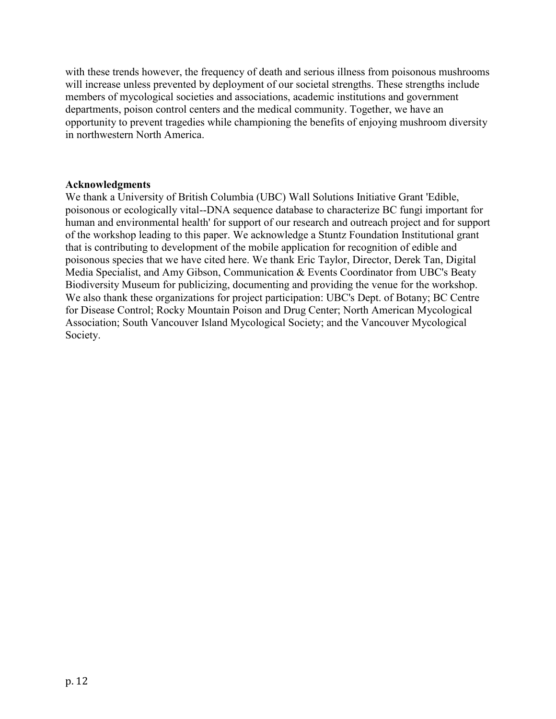with these trends however, the frequency of death and serious illness from poisonous mushrooms will increase unless prevented by deployment of our societal strengths. These strengths include members of mycological societies and associations, academic institutions and government departments, poison control centers and the medical community. Together, we have an opportunity to prevent tragedies while championing the benefits of enjoying mushroom diversity in northwestern North America.

#### Acknowledgments

We thank a University of British Columbia (UBC) Wall Solutions Initiative Grant 'Edible, poisonous or ecologically vital--DNA sequence database to characterize BC fungi important for human and environmental health' for support of our research and outreach project and for support of the workshop leading to this paper. We acknowledge a Stuntz Foundation Institutional grant that is contributing to development of the mobile application for recognition of edible and poisonous species that we have cited here. We thank Eric Taylor, Director, Derek Tan, Digital Media Specialist, and Amy Gibson, Communication & Events Coordinator from UBC's Beaty Biodiversity Museum for publicizing, documenting and providing the venue for the workshop. We also thank these organizations for project participation: UBC's Dept. of Botany; BC Centre for Disease Control; Rocky Mountain Poison and Drug Center; North American Mycological Association; South Vancouver Island Mycological Society; and the Vancouver Mycological Society.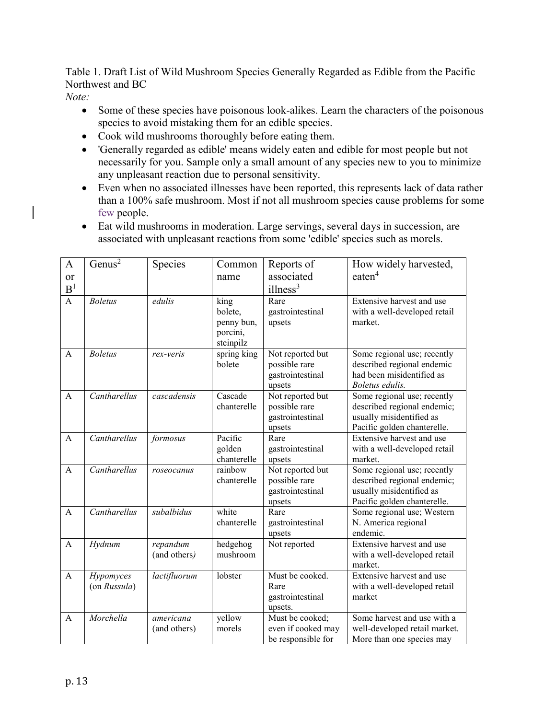Table 1. Draft List of Wild Mushroom Species Generally Regarded as Edible from the Pacific Northwest and BC

*Note:*

- Some of these species have poisonous look-alikes. Learn the characters of the poisonous species to avoid mistaking them for an edible species.
- Cook wild mushrooms thoroughly before eating them.
- 'Generally regarded as edible' means widely eaten and edible for most people but not necessarily for you. Sample only a small amount of any species new to you to minimize any unpleasant reaction due to personal sensitivity.
- Even when no associated illnesses have been reported, this represents lack of data rather than a 100% safe mushroom. Most if not all mushroom species cause problems for some few people.
- Eat wild mushrooms in moderation. Large servings, several days in succession, are associated with unpleasant reactions from some 'edible' species such as morels.

| $\mathbf{A}$<br>or<br>B <sup>1</sup> | Genus <sup>2</sup>        | Species                   | Common<br>name                                         | Reports of<br>associated<br>illness <sup>3</sup>                | How widely harvested,<br>eaten <sup>4</sup>                                                                           |
|--------------------------------------|---------------------------|---------------------------|--------------------------------------------------------|-----------------------------------------------------------------|-----------------------------------------------------------------------------------------------------------------------|
| $\overline{A}$                       | <b>Boletus</b>            | edulis                    | king<br>bolete,<br>penny bun,<br>porcini,<br>steinpilz | Rare<br>gastrointestinal<br>upsets                              | Extensive harvest and use<br>with a well-developed retail<br>market.                                                  |
| $\mathbf{A}$                         | <b>Boletus</b>            | rex-veris                 | spring king<br>bolete                                  | Not reported but<br>possible rare<br>gastrointestinal<br>upsets | Some regional use; recently<br>described regional endemic<br>had been misidentified as<br>Boletus edulis.             |
| $\overline{A}$                       | Cantharellus              | cascadensis               | Cascade<br>chanterelle                                 | Not reported but<br>possible rare<br>gastrointestinal<br>upsets | Some regional use; recently<br>described regional endemic;<br>usually misidentified as<br>Pacific golden chanterelle. |
| $\mathbf{A}$                         | Cantharellus              | formosus                  | Pacific<br>golden<br>chanterelle                       | Rare<br>gastrointestinal<br>upsets                              | Extensive harvest and use<br>with a well-developed retail<br>market.                                                  |
| $\mathbf{A}$                         | Cantharellus              | roseocanus                | rainbow<br>chanterelle                                 | Not reported but<br>possible rare<br>gastrointestinal<br>upsets | Some regional use; recently<br>described regional endemic;<br>usually misidentified as<br>Pacific golden chanterelle. |
| $\mathbf{A}$                         | Cantharellus              | subalbidus                | white<br>chanterelle                                   | Rare<br>gastrointestinal<br>upsets                              | Some regional use; Western<br>N. America regional<br>endemic.                                                         |
| $\mathbf{A}$                         | Hydnum                    | repandum<br>(and others)  | hedgehog<br>mushroom                                   | Not reported                                                    | Extensive harvest and use<br>with a well-developed retail<br>market.                                                  |
| $\mathsf{A}$                         | Hypomyces<br>(on Russula) | lactifluorum              | lobster                                                | Must be cooked.<br>Rare<br>gastrointestinal<br>upsets.          | Extensive harvest and use<br>with a well-developed retail<br>market                                                   |
| $\mathbf{A}$                         | Morchella                 | americana<br>(and others) | yellow<br>morels                                       | Must be cooked;<br>even if cooked may<br>be responsible for     | Some harvest and use with a<br>well-developed retail market.<br>More than one species may                             |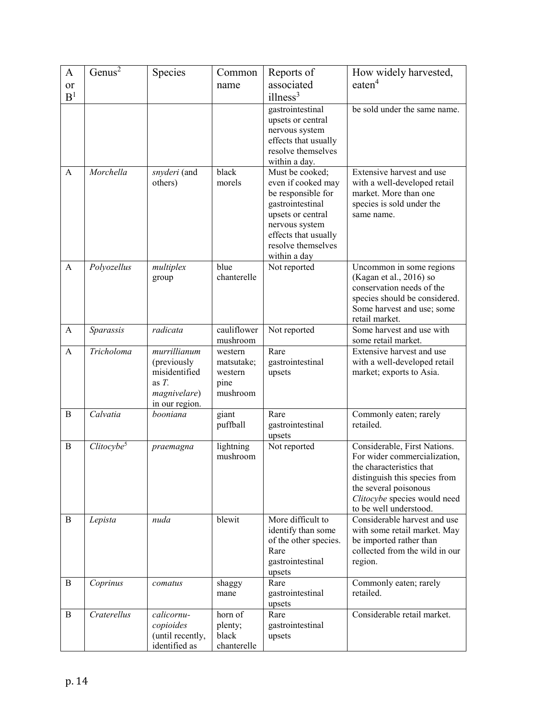| $\mathbf{A}$   | Genus <sup>2</sup>     | Species                        | Common              | Reports of                                 | How widely harvested,                                     |
|----------------|------------------------|--------------------------------|---------------------|--------------------------------------------|-----------------------------------------------------------|
| or             |                        |                                | name                | associated                                 | eaten <sup>4</sup>                                        |
| B <sup>1</sup> |                        |                                |                     | illness <sup>3</sup>                       |                                                           |
|                |                        |                                |                     | gastrointestinal                           | be sold under the same name.                              |
|                |                        |                                |                     | upsets or central                          |                                                           |
|                |                        |                                |                     | nervous system                             |                                                           |
|                |                        |                                |                     | effects that usually<br>resolve themselves |                                                           |
|                |                        |                                |                     | within a day.                              |                                                           |
| A              | Morchella              | snyderi (and                   | black               | Must be cooked;                            | Extensive harvest and use                                 |
|                |                        | others)                        | morels              | even if cooked may                         | with a well-developed retail                              |
|                |                        |                                |                     | be responsible for<br>gastrointestinal     | market. More than one<br>species is sold under the        |
|                |                        |                                |                     | upsets or central                          | same name.                                                |
|                |                        |                                |                     | nervous system                             |                                                           |
|                |                        |                                |                     | effects that usually                       |                                                           |
|                |                        |                                |                     | resolve themselves                         |                                                           |
|                |                        |                                |                     | within a day                               |                                                           |
| $\mathbf{A}$   | Polyozellus            | multiplex<br>group             | blue<br>chanterelle | Not reported                               | Uncommon in some regions<br>(Kagan et al., 2016) so       |
|                |                        |                                |                     |                                            | conservation needs of the                                 |
|                |                        |                                |                     |                                            | species should be considered.                             |
|                |                        |                                |                     |                                            | Some harvest and use; some                                |
|                |                        |                                | cauliflower         |                                            | retail market.<br>Some harvest and use with               |
| A              | Sparassis              | radicata                       | mushroom            | Not reported                               | some retail market.                                       |
| $\mathbf{A}$   | Tricholoma             | murrillianum                   | western             | Rare                                       | Extensive harvest and use                                 |
|                |                        | (previously                    | matsutake;          | gastrointestinal                           | with a well-developed retail                              |
|                |                        | misidentified                  | western             | upsets                                     | market; exports to Asia.                                  |
|                |                        | as $T$ .                       | pine<br>mushroom    |                                            |                                                           |
|                |                        | magnivelare)<br>in our region. |                     |                                            |                                                           |
| B              | Calvatia               | booniana                       | giant               | Rare                                       | Commonly eaten; rarely                                    |
|                |                        |                                | puffball            | gastrointestinal                           | retailed.                                                 |
| B              | Clitocybe <sup>5</sup> | praemagna                      | lightning           | upsets<br>Not reported                     | Considerable, First Nations.                              |
|                |                        |                                | mushroom            |                                            | For wider commercialization,                              |
|                |                        |                                |                     |                                            | the characteristics that                                  |
|                |                        |                                |                     |                                            | distinguish this species from                             |
|                |                        |                                |                     |                                            | the several poisonous<br>Clitocybe species would need     |
|                |                        |                                |                     |                                            | to be well understood.                                    |
| B              | Lepista                | nuda                           | blewit              | More difficult to                          | Considerable harvest and use                              |
|                |                        |                                |                     | identify than some                         | with some retail market. May                              |
|                |                        |                                |                     | of the other species.<br>Rare              | be imported rather than<br>collected from the wild in our |
|                |                        |                                |                     | gastrointestinal                           | region.                                                   |
|                |                        |                                |                     | upsets                                     |                                                           |
| B              | Coprinus               | comatus                        | shaggy              | Rare                                       | Commonly eaten; rarely<br>retailed.                       |
|                |                        |                                | mane                | gastrointestinal<br>upsets                 |                                                           |
| B              | Craterellus            | calicornu-                     | horn of             | Rare                                       | Considerable retail market.                               |
|                |                        | copioides                      | plenty;             | gastrointestinal                           |                                                           |
|                |                        | (until recently,               | black               | upsets                                     |                                                           |
|                |                        | identified as                  | chanterelle         |                                            |                                                           |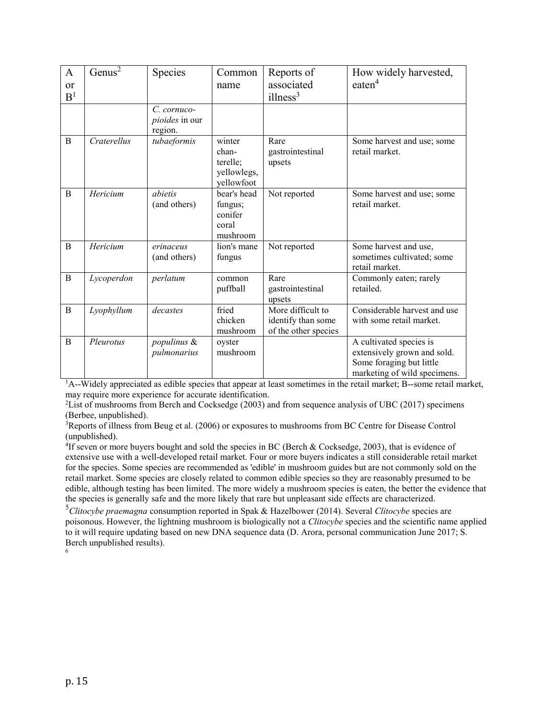| $\mathbf{A}$   | Genus <sup>2</sup> | Species                                     | Common                                                   | Reports of                                                      | How widely harvested,                                                                                              |
|----------------|--------------------|---------------------------------------------|----------------------------------------------------------|-----------------------------------------------------------------|--------------------------------------------------------------------------------------------------------------------|
| or             |                    |                                             | name                                                     | associated                                                      | eaten <sup>4</sup>                                                                                                 |
| B <sup>1</sup> |                    |                                             |                                                          | illness <sup>3</sup>                                            |                                                                                                                    |
|                |                    | $C$ . cornuco-<br>pioides in our<br>region. |                                                          |                                                                 |                                                                                                                    |
| B              | Craterellus        | tubaeformis                                 | winter<br>chan-<br>terelle;<br>yellowlegs,<br>yellowfoot | Rare<br>gastrointestinal<br>upsets                              | Some harvest and use; some<br>retail market.                                                                       |
| B              | Hericium           | abietis<br>(and others)                     | bear's head<br>fungus;<br>conifer<br>coral<br>mushroom   | Not reported                                                    | Some harvest and use; some<br>retail market.                                                                       |
| B              | Hericium           | erinaceus<br>(and others)                   | lion's mane<br>fungus                                    | Not reported                                                    | Some harvest and use,<br>sometimes cultivated; some<br>retail market.                                              |
| B              | Lycoperdon         | perlatum                                    | common<br>puffball                                       | Rare<br>gastrointestinal<br>upsets                              | Commonly eaten; rarely<br>retailed.                                                                                |
| $\mathbf B$    | Lyophyllum         | decastes                                    | fried<br>chicken<br>mushroom                             | More difficult to<br>identify than some<br>of the other species | Considerable harvest and use<br>with some retail market.                                                           |
| B              | Pleurotus          | populinus &<br>pulmonarius                  | oyster<br>mushroom                                       |                                                                 | A cultivated species is<br>extensively grown and sold.<br>Some foraging but little<br>marketing of wild specimens. |

<sup>1</sup>A--Widely appreciated as edible species that appear at least sometimes in the retail market; B--some retail market, may require more experience for accurate identification.

<sup>2</sup>List of mushrooms from Berch and Cocksedge (2003) and from sequence analysis of UBC (2017) specimens (Berbee, unpublished).

<sup>3</sup>Reports of illness from Beug et al. (2006) or exposures to mushrooms from BC Centre for Disease Control (unpublished).

<sup>4</sup>If seven or more buyers bought and sold the species in BC (Berch & Cocksedge, 2003), that is evidence of extensive use with a well-developed retail market. Four or more buyers indicates a still considerable retail market for the species. Some species are recommended as 'edible' in mushroom guides but are not commonly sold on the retail market. Some species are closely related to common edible species so they are reasonably presumed to be edible, although testing has been limited. The more widely a mushroom species is eaten, the better the evidence that the species is generally safe and the more likely that rare but unpleasant side effects are characterized.

<sup>5</sup>*Clitocybe praemagna* consumption reported in Spak & Hazelbower (2014). Several *Clitocybe* species are poisonous. However, the lightning mushroom is biologically not a *Clitocybe* species and the scientific name applied to it will require updating based on new DNA sequence data (D. Arora, personal communication June 2017; S. Berch unpublished results).

6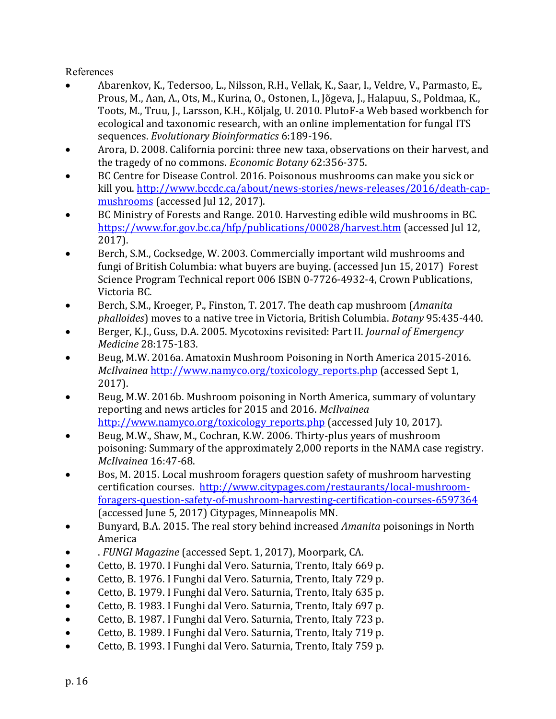References

- Abarenkov, K., Tedersoo, L., Nilsson, R.H., Vellak, K., Saar, I., Veldre, V., Parmasto, E., Prous, M., Aan, A., Ots, M., Kurina, O., Ostonen, I., Jõgeva, J., Halapuu, S., Poldmaa, K., Toots, M., Truu, J., Larsson, K.H., Kõljalg, U. 2010. PlutoF-a Web based workbench for ecological and taxonomic research, with an online implementation for fungal ITS sequences. *Evolutionary Bioinformatics* 6:189-196.
- Arora, D. 2008. California porcini: three new taxa, observations on their harvest, and the tragedy of no commons. *Economic Botany* 62:356-375.
- BC Centre for Disease Control. 2016. Poisonous mushrooms can make you sick or kill you. [http://www.bccdc.ca/about/news-stories/news-releases/2016/death-cap](http://www.bccdc.ca/about/news-stories/news-releases/2016/death-cap-mushrooms)[mushrooms](http://www.bccdc.ca/about/news-stories/news-releases/2016/death-cap-mushrooms) (accessed Jul 12, 2017).
- BC Ministry of Forests and Range. 2010. Harvesting edible wild mushrooms in BC. <https://www.for.gov.bc.ca/hfp/publications/00028/harvest.htm> (accessed Jul 12, 2017).
- Berch, S.M., Cocksedge, W. 2003. Commercially important wild mushrooms and fungi of British Columbia: what buyers are buying. (accessed Jun 15, 2017) Forest Science Program Technical report 006 ISBN 0-7726-4932-4, Crown Publications, Victoria BC.
- Berch, S.M., Kroeger, P., Finston, T. 2017. The death cap mushroom (*Amanita phalloides*) moves to a native tree in Victoria, British Columbia. *Botany* 95:435-440.
- Berger, K.J., Guss, D.A. 2005. Mycotoxins revisited: Part II. *Journal of Emergency Medicine* 28:175-183.
- Beug, M.W. 2016a. Amatoxin Mushroom Poisoning in North America 2015-2016. *McIlvainea* [http://www.namyco.org/toxicology\\_reports.php](http://www.namyco.org/toxicology_reports.php) (accessed Sept 1, 2017).
- Beug, M.W. 2016b. Mushroom poisoning in North America, summary of voluntary reporting and news articles for 2015 and 2016. *McIlvainea* [http://www.namyco.org/toxicology\\_reports.php](http://www.namyco.org/toxicology_reports.php) (accessed July 10, 2017).
- Beug, M.W., Shaw, M., Cochran, K.W. 2006. Thirty-plus years of mushroom poisoning: Summary of the approximately 2,000 reports in the NAMA case registry. *McIlvainea* 16:47-68.
- Bos, M. 2015. Local mushroom foragers question safety of mushroom harvesting certification courses. [http://www.citypages.com/restaurants/local-mushroom](http://www.citypages.com/restaurants/local-mushroom-foragers-question-safety-of-mushroom-harvesting-certification-courses-6597364)[foragers-question-safety-of-mushroom-harvesting-certification-courses-6597364](http://www.citypages.com/restaurants/local-mushroom-foragers-question-safety-of-mushroom-harvesting-certification-courses-6597364) (accessed June 5, 2017) Citypages, Minneapolis MN.
- Bunyard, B.A. 2015. The real story behind increased *Amanita* poisonings in North America
- . *FUNGI Magazine* (accessed Sept. 1, 2017), Moorpark, CA.
- Cetto, B. 1970. I Funghi dal Vero. Saturnia, Trento, Italy 669 p.
- Cetto, B. 1976. I Funghi dal Vero. Saturnia, Trento, Italy 729 p.
- Cetto, B. 1979. I Funghi dal Vero. Saturnia, Trento, Italy 635 p.
- Cetto, B. 1983. I Funghi dal Vero. Saturnia, Trento, Italy 697 p.
- Cetto, B. 1987. I Funghi dal Vero. Saturnia, Trento, Italy 723 p.
- Cetto, B. 1989. I Funghi dal Vero. Saturnia, Trento, Italy 719 p.
- Cetto, B. 1993. I Funghi dal Vero. Saturnia, Trento, Italy 759 p.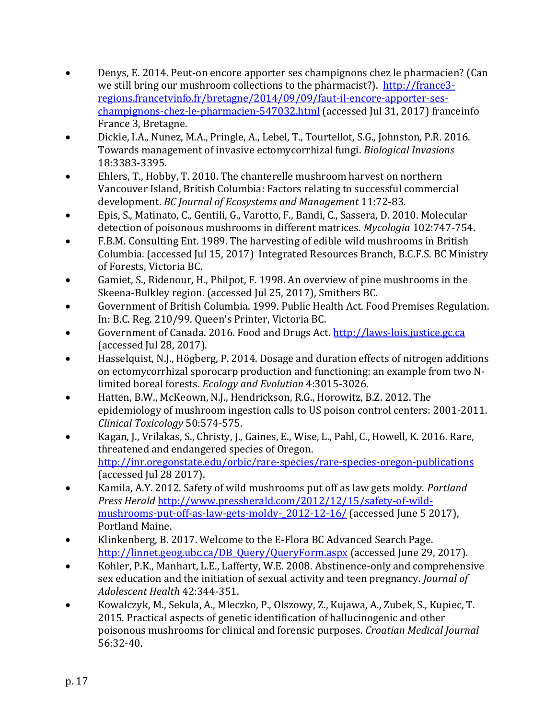- Denys, E. 2014. Peut-on encore apporter ses champignons chez le pharmacien? (Can we still bring our mushroom collections to the pharmacist?). [http://france3](http://france3-regions.francetvinfo.fr/bretagne/2014/09/09/faut-il-encore-apporter-ses-champignons-chez-le-pharmacien-547032.html) [regions.francetvinfo.fr/bretagne/2014/09/09/faut-il-encore-apporter-ses](http://france3-regions.francetvinfo.fr/bretagne/2014/09/09/faut-il-encore-apporter-ses-champignons-chez-le-pharmacien-547032.html)[champignons-chez-le-pharmacien-547032.html](http://france3-regions.francetvinfo.fr/bretagne/2014/09/09/faut-il-encore-apporter-ses-champignons-chez-le-pharmacien-547032.html) (accessed Jul 31, 2017) franceinfo France 3, Bretagne.
- Dickie, I.A., Nunez, M.A., Pringle, A., Lebel, T., Tourtellot, S.G., Johnston, P.R. 2016. Towards management of invasive ectomycorrhizal fungi. *Biological Invasions* 18:3383-3395.
- Ehlers, T., Hobby, T. 2010. The chanterelle mushroom harvest on northern Vancouver Island, British Columbia: Factors relating to successful commercial development. *BC Journal of Ecosystems and Management* 11:72-83.
- Epis, S., Matinato, C., Gentili, G., Varotto, F., Bandi, C., Sassera, D. 2010. Molecular detection of poisonous mushrooms in different matrices. *Mycologia* 102:747-754.
- F.B.M. Consulting Ent. 1989. The harvesting of edible wild mushrooms in British Columbia. (accessed Jul 15, 2017) Integrated Resources Branch, B.C.F.S. BC Ministry of Forests, Victoria BC.
- Gamiet, S., Ridenour, H., Philpot, F. 1998. An overview of pine mushrooms in the Skeena-Bulkley region. (accessed Jul 25, 2017), Smithers BC.
- Government of British Columbia. 1999. Public Health Act. Food Premises Regulation. In: B.C. Reg. 210/99. Queen's Printer, Victoria BC.
- Government of Canada. 2016. Food and Drugs Act. [http://laws-lois.justice.gc.ca](http://laws-lois.justice.gc.ca/) (accessed Jul 28, 2017).
- Hasselquist, N.J., Högberg, P. 2014. Dosage and duration effects of nitrogen additions on ectomycorrhizal sporocarp production and functioning: an example from two Nlimited boreal forests. *Ecology and Evolution* 4:3015-3026.
- Hatten, B.W., McKeown, N.J., Hendrickson, R.G., Horowitz, B.Z. 2012. The epidemiology of mushroom ingestion calls to US poison control centers: 2001-2011. *Clinical Toxicology* 50:574-575.
- Kagan, J., Vrilakas, S., Christy, J., Gaines, E., Wise, L., Pahl, C., Howell, K. 2016. Rare, threatened and endangered species of Oregon. <http://inr.oregonstate.edu/orbic/rare-species/rare-species-oregon-publications> (accessed Jul 28 2017).
- Kamila, A.Y. 2012. Safety of wild mushrooms put off as law gets moldy. *Portland Press Herald* [http://www.pressherald.com/2012/12/15/safety-of-wild](http://www.pressherald.com/2012/12/15/safety-of-wild-mushrooms-put-off-as-law-gets-moldy-_2012-12-16/)mushrooms-put-off-as-law-gets-moldy- 2012-12-16/ (accessed June 5 2017), Portland Maine.
- Klinkenberg, B. 2017. Welcome to the E-Flora BC Advanced Search Page. [http://linnet.geog.ubc.ca/DB\\_Query/QueryForm.aspx](http://linnet.geog.ubc.ca/DB_Query/QueryForm.aspx) (accessed June 29, 2017).
- Kohler, P.K., Manhart, L.E., Lafferty, W.E. 2008. Abstinence-only and comprehensive sex education and the initiation of sexual activity and teen pregnancy. *Journal of Adolescent Health* 42:344-351.
- Kowalczyk, M., Sekula, A., Mleczko, P., Olszowy, Z., Kujawa, A., Zubek, S., Kupiec, T. 2015. Practical aspects of genetic identification of hallucinogenic and other poisonous mushrooms for clinical and forensic purposes. *Croatian Medical Journal* 56:32-40.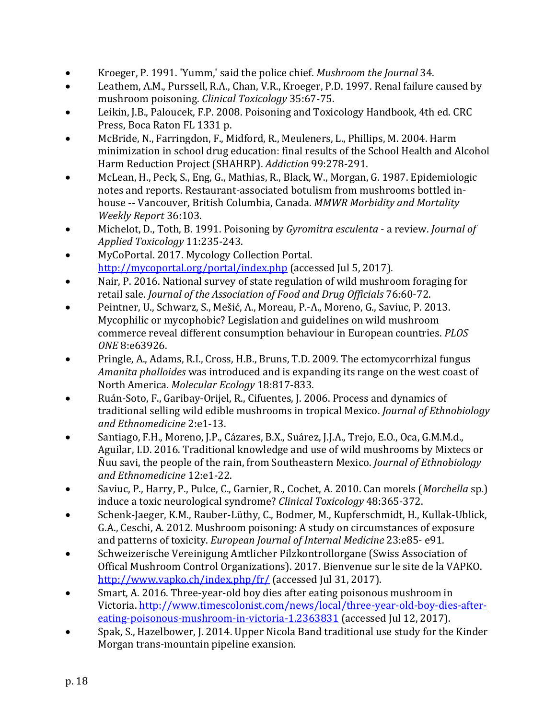- Kroeger, P. 1991. 'Yumm,' said the police chief. *Mushroom the Journal* 34.
- Leathem, A.M., Purssell, R.A., Chan, V.R., Kroeger, P.D. 1997. Renal failure caused by mushroom poisoning. *Clinical Toxicology* 35:67-75.
- Leikin, J.B., Paloucek, F.P. 2008. Poisoning and Toxicology Handbook, 4th ed. CRC Press, Boca Raton FL 1331 p.
- McBride, N., Farringdon, F., Midford, R., Meuleners, L., Phillips, M. 2004. Harm minimization in school drug education: final results of the School Health and Alcohol Harm Reduction Project (SHAHRP). *Addiction* 99:278-291.
- McLean, H., Peck, S., Eng, G., Mathias, R., Black, W., Morgan, G. 1987. Epidemiologic notes and reports. Restaurant-associated botulism from mushrooms bottled inhouse -- Vancouver, British Columbia, Canada. *MMWR Morbidity and Mortality Weekly Report* 36:103.
- Michelot, D., Toth, B. 1991. Poisoning by *Gyromitra esculenta* a review. *Journal of Applied Toxicology* 11:235-243.
- MyCoPortal. 2017. Mycology Collection Portal. <http://mycoportal.org/portal/index.php> (accessed Jul 5, 2017).
- Nair, P. 2016. National survey of state regulation of wild mushroom foraging for retail sale. *Journal of the Association of Food and Drug Officials* 76:60-72.
- Peintner, U., Schwarz, S., Mešić, A., Moreau, P.-A., Moreno, G., Saviuc, P. 2013. Mycophilic or mycophobic? Legislation and guidelines on wild mushroom commerce reveal different consumption behaviour in European countries. *PLOS ONE* 8:e63926.
- Pringle, A., Adams, R.I., Cross, H.B., Bruns, T.D. 2009. The ectomycorrhizal fungus *Amanita phalloides* was introduced and is expanding its range on the west coast of North America. *Molecular Ecology* 18:817-833.
- Ruán-Soto, F., Garibay-Orijel, R., Cifuentes, J. 2006. Process and dynamics of traditional selling wild edible mushrooms in tropical Mexico. *Journal of Ethnobiology and Ethnomedicine* 2:e1-13.
- Santiago, F.H., Moreno, J.P., Cázares, B.X., Suárez, J.J.A., Trejo, E.O., Oca, G.M.M.d., Aguilar, I.D. 2016. Traditional knowledge and use of wild mushrooms by Mixtecs or Ñuu savi, the people of the rain, from Southeastern Mexico. *Journal of Ethnobiology and Ethnomedicine* 12:e1-22.
- Saviuc, P., Harry, P., Pulce, C., Garnier, R., Cochet, A. 2010. Can morels (*Morchella* sp.) induce a toxic neurological syndrome? *Clinical Toxicology* 48:365-372.
- Schenk-Jaeger, K.M., Rauber-Lüthy, C., Bodmer, M., Kupferschmidt, H., Kullak-Ublick, G.A., Ceschi, A. 2012. Mushroom poisoning: A study on circumstances of exposure and patterns of toxicity. *European Journal of Internal Medicine* 23:e85- e91.
- Schweizerische Vereinigung Amtlicher Pilzkontrollorgane (Swiss Association of Offical Mushroom Control Organizations). 2017. Bienvenue sur le site de la VAPKO. <http://www.vapko.ch/index.php/fr/> (accessed Jul 31, 2017).
- Smart, A. 2016. Three-year-old boy dies after eating poisonous mushroom in Victoria. [http://www.timescolonist.com/news/local/three-year-old-boy-dies-after](http://www.timescolonist.com/news/local/three-year-old-boy-dies-after-eating-poisonous-mushroom-in-victoria-1.2363831)[eating-poisonous-mushroom-in-victoria-1.2363831](http://www.timescolonist.com/news/local/three-year-old-boy-dies-after-eating-poisonous-mushroom-in-victoria-1.2363831) (accessed Jul 12, 2017).
- Spak, S., Hazelbower, J. 2014. Upper Nicola Band traditional use study for the Kinder Morgan trans-mountain pipeline exansion.